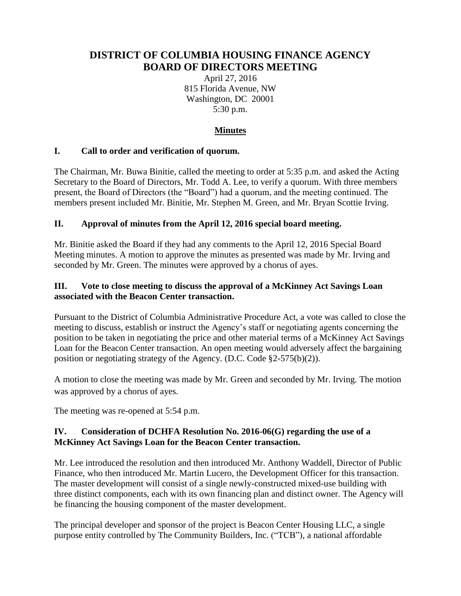# **DISTRICT OF COLUMBIA HOUSING FINANCE AGENCY BOARD OF DIRECTORS MEETING**

April 27, 2016 815 Florida Avenue, NW Washington, DC 20001 5:30 p.m.

# **Minutes**

## **I. Call to order and verification of quorum.**

The Chairman, Mr. Buwa Binitie, called the meeting to order at 5:35 p.m. and asked the Acting Secretary to the Board of Directors, Mr. Todd A. Lee, to verify a quorum. With three members present, the Board of Directors (the "Board") had a quorum, and the meeting continued. The members present included Mr. Binitie, Mr. Stephen M. Green, and Mr. Bryan Scottie Irving.

## **II. Approval of minutes from the April 12, 2016 special board meeting.**

Mr. Binitie asked the Board if they had any comments to the April 12, 2016 Special Board Meeting minutes. A motion to approve the minutes as presented was made by Mr. Irving and seconded by Mr. Green. The minutes were approved by a chorus of ayes.

### **III. Vote to close meeting to discuss the approval of a McKinney Act Savings Loan associated with the Beacon Center transaction.**

Pursuant to the District of Columbia Administrative Procedure Act, a vote was called to close the meeting to discuss, establish or instruct the Agency's staff or negotiating agents concerning the position to be taken in negotiating the price and other material terms of a McKinney Act Savings Loan for the Beacon Center transaction. An open meeting would adversely affect the bargaining position or negotiating strategy of the Agency. (D.C. Code §2-575(b)(2)).

A motion to close the meeting was made by Mr. Green and seconded by Mr. Irving. The motion was approved by a chorus of ayes.

The meeting was re-opened at 5:54 p.m.

## **IV. Consideration of DCHFA Resolution No. 2016-06(G) regarding the use of a McKinney Act Savings Loan for the Beacon Center transaction.**

Mr. Lee introduced the resolution and then introduced Mr. Anthony Waddell, Director of Public Finance, who then introduced Mr. Martin Lucero, the Development Officer for this transaction. The master development will consist of a single newly-constructed mixed-use building with three distinct components, each with its own financing plan and distinct owner. The Agency will be financing the housing component of the master development.

The principal developer and sponsor of the project is Beacon Center Housing LLC, a single purpose entity controlled by The Community Builders, Inc. ("TCB"), a national affordable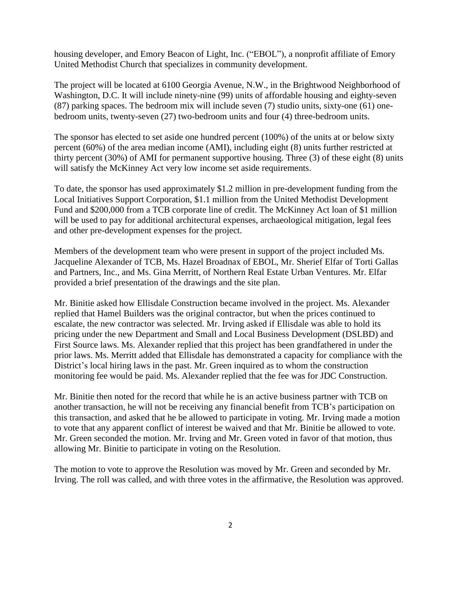housing developer, and Emory Beacon of Light, Inc. ("EBOL"), a nonprofit affiliate of Emory United Methodist Church that specializes in community development.

The project will be located at 6100 Georgia Avenue, N.W., in the Brightwood Neighborhood of Washington, D.C. It will include ninety-nine (99) units of affordable housing and eighty-seven (87) parking spaces. The bedroom mix will include seven (7) studio units, sixty-one (61) onebedroom units, twenty-seven (27) two-bedroom units and four (4) three-bedroom units.

The sponsor has elected to set aside one hundred percent (100%) of the units at or below sixty percent (60%) of the area median income (AMI), including eight (8) units further restricted at thirty percent (30%) of AMI for permanent supportive housing. Three (3) of these eight (8) units will satisfy the McKinney Act very low income set aside requirements.

To date, the sponsor has used approximately \$1.2 million in pre-development funding from the Local Initiatives Support Corporation, \$1.1 million from the United Methodist Development Fund and \$200,000 from a TCB corporate line of credit. The McKinney Act loan of \$1 million will be used to pay for additional architectural expenses, archaeological mitigation, legal fees and other pre-development expenses for the project.

Members of the development team who were present in support of the project included Ms. Jacqueline Alexander of TCB, Ms. Hazel Broadnax of EBOL, Mr. Sherief Elfar of Torti Gallas and Partners, Inc., and Ms. Gina Merritt, of Northern Real Estate Urban Ventures. Mr. Elfar provided a brief presentation of the drawings and the site plan.

Mr. Binitie asked how Ellisdale Construction became involved in the project. Ms. Alexander replied that Hamel Builders was the original contractor, but when the prices continued to escalate, the new contractor was selected. Mr. Irving asked if Ellisdale was able to hold its pricing under the new Department and Small and Local Business Development (DSLBD) and First Source laws. Ms. Alexander replied that this project has been grandfathered in under the prior laws. Ms. Merritt added that Ellisdale has demonstrated a capacity for compliance with the District's local hiring laws in the past. Mr. Green inquired as to whom the construction monitoring fee would be paid. Ms. Alexander replied that the fee was for JDC Construction.

Mr. Binitie then noted for the record that while he is an active business partner with TCB on another transaction, he will not be receiving any financial benefit from TCB's participation on this transaction, and asked that he be allowed to participate in voting. Mr. Irving made a motion to vote that any apparent conflict of interest be waived and that Mr. Binitie be allowed to vote. Mr. Green seconded the motion. Mr. Irving and Mr. Green voted in favor of that motion, thus allowing Mr. Binitie to participate in voting on the Resolution.

The motion to vote to approve the Resolution was moved by Mr. Green and seconded by Mr. Irving. The roll was called, and with three votes in the affirmative, the Resolution was approved.